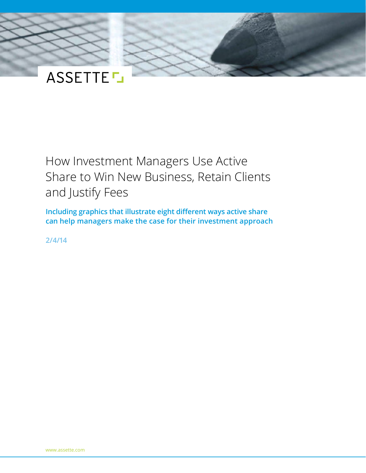

# How Investment Managers Use Active Share to Win New Business, Retain Clients and Justify Fees

**Including graphics that illustrate eight different ways active share can help managers make the case for their investment approach**

**2/4/14**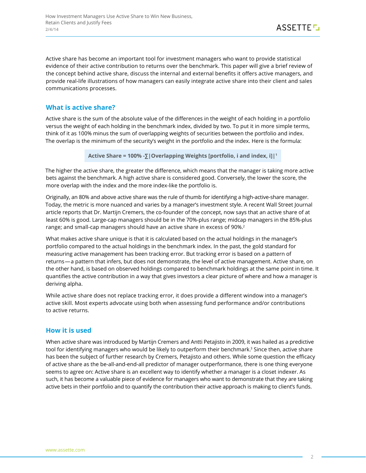Active share has become an important tool for investment managers who want to provide statistical evidence of their active contribution to returns over the benchmark. This paper will give a brief review of the concept behind active share, discuss the internal and external benefits it offers active managers, and provide real-life illustrations of how managers can easily integrate active share into their client and sales communications processes.

## **What is active share?**

Active share is the sum of the absolute value of the differences in the weight of each holding in a portfolio versus the weight of each holding in the benchmark index, divided by two. To put it in more simple terms, think of it as 100% minus the sum of overlapping weights of securities between the portfolio and index. The overlap is the minimum of the security's weight in the portfolio and the index. Here is the formula:

**Active Share = 100% -∑|Overlapping Weights [portfolio, i and index, i]|<sup>1</sup>**

The higher the active share, the greater the difference, which means that the manager is taking more active bets against the benchmark. A high active share is considered good. Conversely, the lower the score, the more overlap with the index and the more index-like the portfolio is.

Originally, an 80% and above active share was the rule of thumb for identifying a high-active-share manager. Today, the metric is more nuanced and varies by a manager's investment style. A recent Wall Street Journal article reports that Dr. Martijn Cremers, the co-founder of the concept, now says that an active share of at least 60% is good. Large-cap managers should be in the 70%-plus range; midcap managers in the 85%-plus range; and small-cap managers should have an active share in excess of 90%.<sup>2</sup>

What makes active share unique is that it is calculated based on the actual holdings in the manager's portfolio compared to the actual holdings in the benchmark index. In the past, the gold standard for measuring active management has been tracking error. But tracking error is based on a pattern of returns—a pattern that infers, but does not demonstrate, the level of active management. Active share, on the other hand, is based on observed holdings compared to benchmark holdings at the same point in time. It quantifies the active contribution in a way that gives investors a clear picture of where and how a manager is deriving alpha.

While active share does not replace tracking error, it does provide a different window into a manager's active skill. Most experts advocate using both when assessing fund performance and/or contributions to active returns.

## **How it is used**

When active share was introduced by Martijn Cremers and Antti Petajisto in 2009, it was hailed as a predictive tool for identifying managers who would be likely to outperform their benchmark.<sup>3</sup> Since then, active share has been the subject of further research by Cremers, Petajisto and others. While some question the efficacy of active share as the be-all-and-end-all predictor of manager outperformance, there is one thing everyone seems to agree on: Active share is an excellent way to identify whether a manager is a closet indexer. As such, it has become a valuable piece of evidence for managers who want to demonstrate that they are taking active bets in their portfolio and to quantify the contribution their active approach is making to client's funds.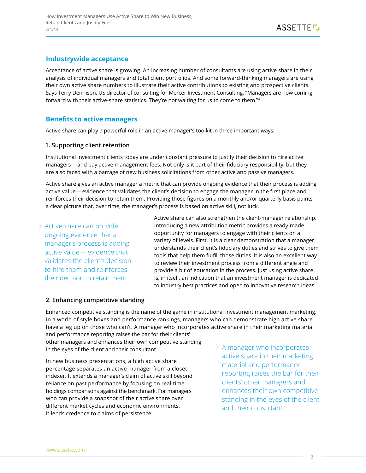## **Industrywide acceptance**

Acceptance of active share is growing. An increasing number of consultants are using active share in their analysis of individual managers and total client portfolios. And some forward-thinking managers are using their own active share numbers to illustrate their active contributions to existing and prospective clients. Says Terry Dennison, US director of consulting for Mercer Investment Consulting, "Managers are now coming forward with their active-share statistics. They're not waiting for us to come to them."4

## **Benefits to active managers**

Active share can play a powerful role in an active manager's toolkit in three important ways:

#### **1. Supporting client retention**

Institutional investment clients today are under constant pressure to justify their decision to hire active managers—and pay active management fees. Not only is it part of their fiduciary responsibility, but they are also faced with a barrage of new business solicitations from other active and passive managers.

Active share gives an active manager a metric that can provide ongoing evidence that their process is adding active value—evidence that validates the client's decision to engage the manager in the first place and reinforces their decision to retain them. Providing those figures on a monthly and/or quarterly basis paints a clear picture that, over time, the manager's process is based on active skill, not luck.

Active share can provide ongoing evidence that a manager's process is adding active value—evidence that validates the client's decision to hire them and reinforces their decision to retain them.

Active share can also strengthen the client-manager relationship. Introducing a new attribution metric provides a ready-made opportunity for managers to engage with their clients on a variety of levels. First, it is a clear demonstration that a manager understands their client's fiduciary duties and strives to give them tools that help them fulfill those duties. It is also an excellent way to review their investment process from a different angle and provide a bit of education in the process. Just using active share is, in itself, an indication that an investment manager is dedicated to industry best practices and open to innovative research ideas.

#### **2. Enhancing competitive standing**

Enhanced competitive standing is the name of the game in institutional investment management marketing. In a world of style boxes and performance rankings, managers who can demonstrate high active share have a leg up on those who can't. A manager who incorporates active share in their marketing material

and performance reporting raises the bar for their clients' other managers and enhances their own competitive standing in the eyes of the client and their consultant.

In new business presentations, a high active share percentage separates an active manager from a closet indexer. It extends a manager's claim of active skill beyond reliance on past performance by focusing on real-time holdings comparisons against the benchmark. For managers who can provide a snapshot of their active share over different market cycles and economic environments, it lends credence to claims of persistence.

A manager who incorporates active share in their marketing material and performance reporting raises the bar for their clients' other managers and enhances their own competitive standing in the eyes of the client and their consultant.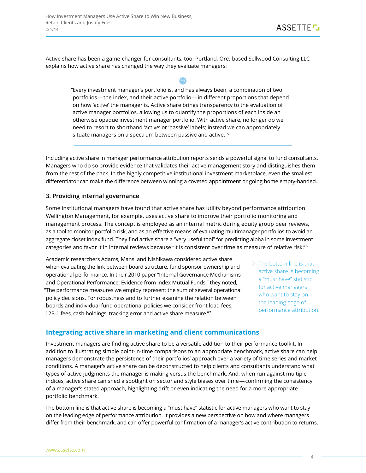Active share has been a game-changer for consultants, too. Portland, Ore.-based Sellwood Consulting LLC explains how active share has changed the way they evaluate managers:

"Every investment manager's portfolio is, and has always been, a combination of two portfolios—the index, and their active portfolio—in different proportions that depend on how 'active' the manager is. Active share brings transparency to the evaluation of active manager portfolios, allowing us to quantify the proportions of each inside an otherwise opaque investment manager portfolio. With active share, no longer do we need to resort to shorthand 'active' or 'passive' labels; instead we can appropriately situate managers on a spectrum between passive and active."<sup>5</sup>

Including active share in manager performance attribution reports sends a powerful signal to fund consultants. Managers who do so provide evidence that validates their active management story and distinguishes them from the rest of the pack. In the highly competitive institutional investment marketplace, even the smallest differentiator can make the difference between winning a coveted appointment or going home empty-handed.

#### **3. Providing internal governance**

Some institutional managers have found that active share has utility beyond performance attribution. Wellington Management, for example, uses active share to improve their portfolio monitoring and management process. The concept is employed as an internal metric during equity group peer reviews, as a tool to monitor portfolio risk, and as an effective means of evaluating multimanager portfolios to avoid an aggregate closet index fund. They find active share a "very useful tool" for predicting alpha in some investment categories and favor it in internal reviews because "it is consistent over time as measure of relative risk."<sup>6</sup>

Academic researchers Adams, Mansi and Nishikawa considered active share when evaluating the link between board structure, fund sponsor ownership and operational performance. In their 2010 paper "Internal Governance Mechanisms and Operational Performance: Evidence from Index Mutual Funds," they noted, "The performance measures we employ represent the sum of several operational policy decisions. For robustness and to further examine the relation between boards and individual fund operational policies we consider front load fees, 12B-1 fees, cash holdings, tracking error and active share measure."<sup>7</sup>

The bottom line is that active share is becoming a "must have" statistic for active managers who want to stay on the leading edge of performance attribution.

## **Integrating active share in marketing and client communications**

Investment managers are finding active share to be a versatile addition to their performance toolkit. In addition to illustrating simple point-in-time comparisons to an appropriate benchmark, active share can help managers demonstrate the persistence of their portfolios' approach over a variety of time series and market conditions. A manager's active share can be deconstructed to help clients and consultants understand what types of active judgments the manager is making versus the benchmark. And, when run against multiple indices, active share can shed a spotlight on sector and style biases over time—confirming the consistency of a manager's stated approach, highlighting drift or even indicating the need for a more appropriate portfolio benchmark.

The bottom line is that active share is becoming a "must have" statistic for active managers who want to stay on the leading edge of performance attribution. It provides a new perspective on how and where managers differ from their benchmark, and can offer powerful confirmation of a manager's active contribution to returns.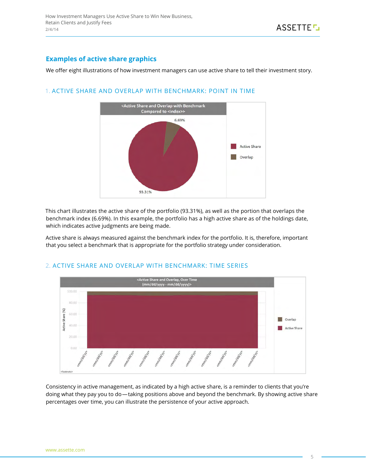# **Examples of active share graphics**

We offer eight illustrations of how investment managers can use active share to tell their investment story.



#### 1. Active Share and Overlap with Benchmark: Point in Time

This chart illustrates the active share of the portfolio (93.31%), as well as the portion that overlaps the benchmark index (6.69%). In this example, the portfolio has a high active share as of the holdings date, which indicates active judgments are being made.

Active share is always measured against the benchmark index for the portfolio. It is, therefore, important that you select a benchmark that is appropriate for the portfolio strategy under consideration.





Consistency in active management, as indicated by a high active share, is a reminder to clients that you're doing what they pay you to do—taking positions above and beyond the benchmark. By showing active share percentages over time, you can illustrate the persistence of your active approach.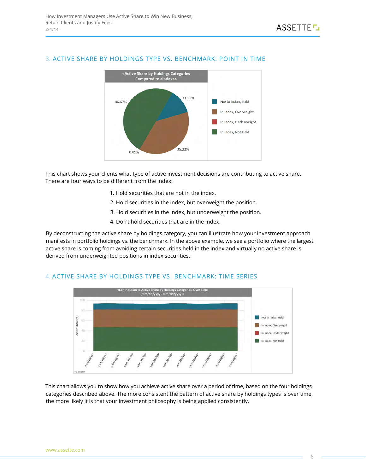

#### 3. Active Share by Holdings Type vs. Benchmark: Point in Time

This chart shows your clients what type of active investment decisions are contributing to active share. There are four ways to be different from the index:

- 1. Hold securities that are not in the index.
- 2. Hold securities in the index, but overweight the position.
- 3. Hold securities in the index, but underweight the position.
- 4. Don't hold securities that are in the index.

By deconstructing the active share by holdings category, you can illustrate how your investment approach manifests in portfolio holdings vs. the benchmark. In the above example, we see a portfolio where the largest active share is coming from avoiding certain securities held in the index and virtually no active share is derived from underweighted positions in index securities.



#### 4. Active Share by Holdings Type vs. Benchmark: Time Series

This chart allows you to show how you achieve active share over a period of time, based on the four holdings categories described above. The more consistent the pattern of active share by holdings types is over time, the more likely it is that your investment philosophy is being applied consistently.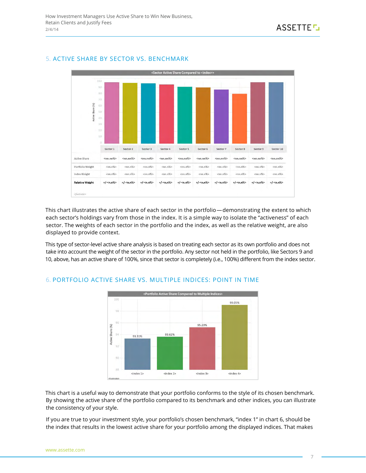#### 5. Active Share by Sector vs. Benchmark



This chart illustrates the active share of each sector in the portfolio—demonstrating the extent to which each sector's holdings vary from those in the index. It is a simple way to isolate the "activeness" of each sector. The weights of each sector in the portfolio and the index, as well as the relative weight, are also displayed to provide context.

This type of sector-level active share analysis is based on treating each sector as its own portfolio and does not take into account the weight of the sector in the portfolio. Any sector not held in the portfolio, like Sectors 9 and 10, above, has an active share of 100%, since that sector is completely (i.e., 100%) different from the index sector.



## 6. Portfolio Active Share vs. Multiple Indices: Point in Time

This chart is a useful way to demonstrate that your portfolio conforms to the style of its chosen benchmark. By showing the active share of the portfolio compared to its benchmark and other indices, you can illustrate the consistency of your style.

If you are true to your investment style, your portfolio's chosen benchmark, "index 1" in chart 6, should be the index that results in the lowest active share for your portfolio among the displayed indices. That makes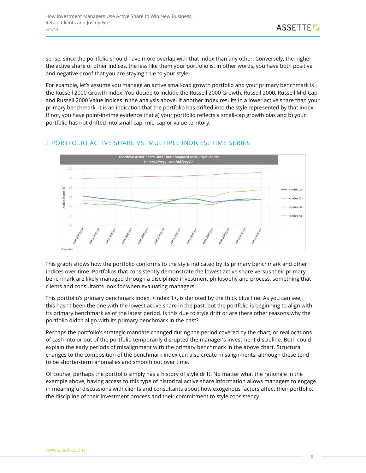sense, since the portfolio should have more overlap with that index than any other. Conversely, the higher the active share of other indices, the less like them your portfolio is. In other words, you have both positive and negative proof that you are staying true to your style.

For example, let's assume you manage an active small-cap growth portfolio and your primary benchmark is the Russell 2000 Growth Index. You decide to include the Russell 2000 Growth, Russell 2000, Russell Mid-Cap and Russell 2000 Value indices in the analysis above. If another index results in a lower active share than your primary benchmark, it is an indication that the portfolio has drifted into the style represented by that index. If not, you have point-in-time evidence that a) your portfolio reflects a small-cap growth bias and b) your portfolio has not drifted into small-cap, mid-cap or value territory.

# 7. Portfolio Active Share vs. Multiple Indices: Time Series



This graph shows how the portfolio conforms to the style indicated by its primary benchmark and other indices over time. Portfolios that consistently demonstrate the lowest active share versus their primary benchmark are likely managed through a disciplined investment philosophy and process, something that clients and consultants look for when evaluating managers.

This portfolio's primary benchmark index, <index 1>, is denoted by the thick blue line. As you can see, this hasn't been the one with the lowest active share in the past, but the portfolio is beginning to align with its primary benchmark as of the latest period. Is this due to style drift or are there other reasons why the portfolio didn't align with its primary benchmark in the past?

Perhaps the portfolio's strategic mandate changed during the period covered by the chart, or reallocations of cash into or out of the portfolio temporarily disrupted the manager's investment discipline. Both could explain the early periods of misalignment with the primary benchmark in the above chart. Structural changes to the composition of the benchmark index can also create misalignments, although these tend to be shorter-term anomalies and smooth out over time.

Of course, perhaps the portfolio simply has a history of style drift. No matter what the rationale in the example above, having access to this type of historical active share information allows managers to engage in meaningful discussions with clients and consultants about how exogenous factors affect their portfolio, the discipline of their investment process and their commitment to style consistency.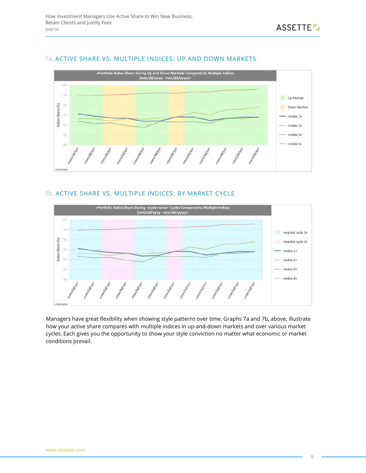#### 7a. Active Share vs. Multiple Indices: Up and Down Markets



## 7b. Active Share vs. Multiple Indices: By Market Cycle



Managers have great flexibility when showing style patterns over time. Graphs 7a and 7b, above, illustrate how your active share compares with multiple indices in up-and-down markets and over various market cycles. Each gives you the opportunity to show your style conviction no matter what economic or market conditions prevail.